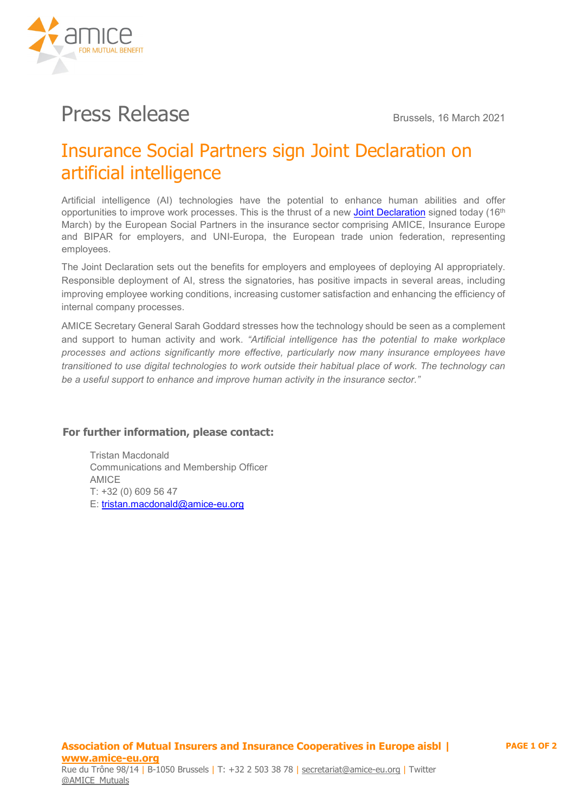

# **Press Release** Brussels, 16 March 2021

## Insurance Social Partners sign Joint Declaration on artificial intelligence

Artificial intelligence (AI) technologies have the potential to enhance human abilities and offer opportunities to improve work processes. This is the thrust of a new [Joint Declaration](https://amice-eu.org/userfiles/file/20210316_ISSDC_Joint%20declaration%20on%20Artificial%20Intelligence_final.pdf) signed today (16<sup>th</sup>) March) by the European Social Partners in the insurance sector comprising AMICE, Insurance Europe and BIPAR for employers, and UNI-Europa, the European trade union federation, representing employees.

The Joint Declaration sets out the benefits for employers and employees of deploying AI appropriately. Responsible deployment of AI, stress the signatories, has positive impacts in several areas, including improving employee working conditions, increasing customer satisfaction and enhancing the efficiency of internal company processes.

AMICE Secretary General Sarah Goddard stresses how the technology should be seen as a complement and support to human activity and work. *"Artificial intelligence has the potential to make workplace processes and actions significantly more effective, particularly now many insurance employees have transitioned to use digital technologies to work outside their habitual place of work. The technology can be a useful support to enhance and improve human activity in the insurance sector."*

#### **For further information, please contact:**

Tristan Macdonald Communications and Membership Officer AMICE T: +32 (0) 609 56 47 E: [tristan.macdonald@amice-eu.org](mailto:tristan.macdonald@amice-eu.org)